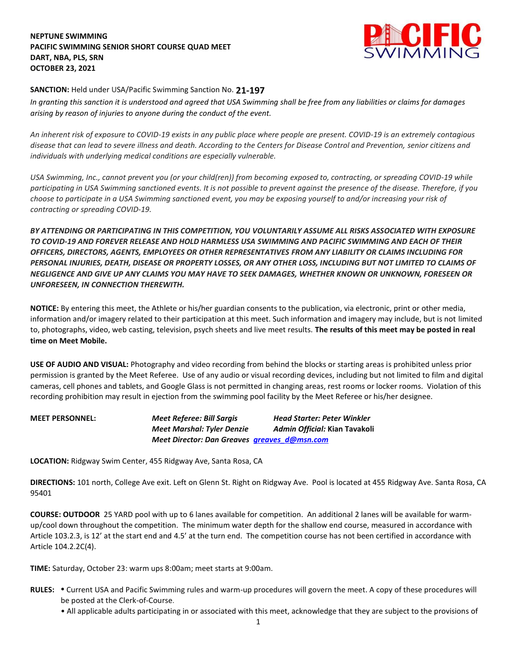## **NEPTUNE SWIMMING PACIFIC SWIMMING SENIOR SHORT COURSE QUAD MEET DART, NBA, PLS, SRN OCTOBER 23, 2021**



## **SANCTION:** Held under USA/Pacific Swimming Sanction No. **21-197**

*In granting this sanction it is understood and agreed that USA Swimming shall be free from any liabilities or claims for damages arising by reason of injuries to anyone during the conduct of the event.* 

*An inherent risk of exposure to COVID-19 exists in any public place where people are present. COVID-19 is an extremely contagious disease that can lead to severe illness and death. According to the Centers for Disease Control and Prevention, senior citizens and individuals with underlying medical conditions are especially vulnerable.*

*USA Swimming, Inc., cannot prevent you (or your child(ren)) from becoming exposed to, contracting, or spreading COVID-19 while participating in USA Swimming sanctioned events. It is not possible to prevent against the presence of the disease. Therefore, if you choose to participate in a USA Swimming sanctioned event, you may be exposing yourself to and/or increasing your risk of contracting or spreading COVID-19.*

*BY ATTENDING OR PARTICIPATING IN THIS COMPETITION, YOU VOLUNTARILY ASSUME ALL RISKS ASSOCIATED WITH EXPOSURE TO COVID-19 AND FOREVER RELEASE AND HOLD HARMLESS USA SWIMMING AND PACIFIC SWIMMING AND EACH OF THEIR OFFICERS, DIRECTORS, AGENTS, EMPLOYEES OR OTHER REPRESENTATIVES FROM ANY LIABILITY OR CLAIMS INCLUDING FOR PERSONAL INJURIES, DEATH, DISEASE OR PROPERTY LOSSES, OR ANY OTHER LOSS, INCLUDING BUT NOT LIMITED TO CLAIMS OF NEGLIGENCE AND GIVE UP ANY CLAIMS YOU MAY HAVE TO SEEK DAMAGES, WHETHER KNOWN OR UNKNOWN, FORESEEN OR UNFORESEEN, IN CONNECTION THEREWITH.*

**NOTICE:** By entering this meet, the Athlete or his/her guardian consents to the publication, via electronic, print or other media, information and/or imagery related to their participation at this meet. Such information and imagery may include, but is not limited to, photographs, video, web casting, television, psych sheets and live meet results. **The results of this meet may be posted in real time on Meet Mobile.**

**USE OF AUDIO AND VISUAL:** Photography and video recording from behind the blocks or starting areas is prohibited unless prior permission is granted by the Meet Referee. Use of any audio or visual recording devices, including but not limited to film and digital cameras, cell phones and tablets, and Google Glass is not permitted in changing areas, rest rooms or locker rooms. Violation of this recording prohibition may result in ejection from the swimming pool facility by the Meet Referee or his/her designee.

**MEET PERSONNEL:** *Meet Referee: Bill Sargis Head Starter: Peter Winkler Meet Marshal: Tyler Denzie Admin Official:* **Kian Tavakoli** *Meet Director: Dan Greaves [greaves\\_d@msn.com](mailto:greaves_d@msn.com)*

**LOCATION:** Ridgway Swim Center, 455 Ridgway Ave, Santa Rosa, CA

**DIRECTIONS:** 101 north, College Ave exit. Left on Glenn St. Right on Ridgway Ave. Pool is located at 455 Ridgway Ave. Santa Rosa, CA 95401

**COURSE: OUTDOOR** 25 YARD pool with up to 6 lanes available for competition. An additional 2 lanes will be available for warmup/cool down throughout the competition. The minimum water depth for the shallow end course, measured in accordance with Article 103.2.3, is 12' at the start end and 4.5' at the turn end. The competition course has not been certified in accordance with Article 104.2.2C(4).

**TIME:** Saturday, October 23: warm ups 8:00am; meet starts at 9:00am.

- **RULES: •** Current USA and Pacific Swimming rules and warm-up procedures will govern the meet. A copy of these procedures will be posted at the Clerk-of-Course.
	- All applicable adults participating in or associated with this meet, acknowledge that they are subject to the provisions of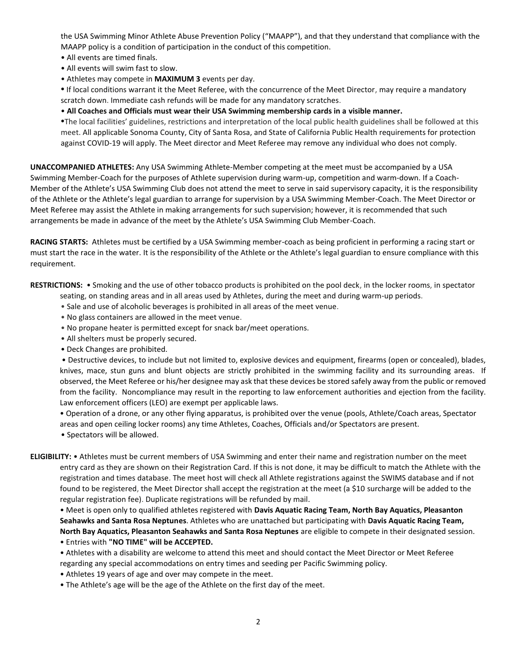the USA Swimming Minor Athlete Abuse Prevention Policy ("MAAPP"), and that they understand that compliance with the MAAPP policy is a condition of participation in the conduct of this competition.

- All events are timed finals.
- All events will swim fast to slow.
- Athletes may compete in **MAXIMUM 3** events per day.

**•** If local conditions warrant it the Meet Referee, with the concurrence of the Meet Director, may require a mandatory scratch down. Immediate cash refunds will be made for any mandatory scratches.

• **All Coaches and Officials must wear their USA Swimming membership cards in a visible manner.** 

**•**The local facilities' guidelines, restrictions and interpretation of the local public health guidelines shall be followed at this meet. All applicable Sonoma County, City of Santa Rosa, and State of California Public Health requirements for protection against COVID-19 will apply. The Meet director and Meet Referee may remove any individual who does not comply.

**UNACCOMPANIED ATHLETES:** Any USA Swimming Athlete-Member competing at the meet must be accompanied by a USA Swimming Member-Coach for the purposes of Athlete supervision during warm-up, competition and warm-down. If a Coach-Member of the Athlete's USA Swimming Club does not attend the meet to serve in said supervisory capacity, it is the responsibility of the Athlete or the Athlete's legal guardian to arrange for supervision by a USA Swimming Member-Coach. The Meet Director or Meet Referee may assist the Athlete in making arrangements for such supervision; however, it is recommended that such arrangements be made in advance of the meet by the Athlete's USA Swimming Club Member-Coach.

**RACING STARTS:** Athletes must be certified by a USA Swimming member-coach as being proficient in performing a racing start or must start the race in the water. It is the responsibility of the Athlete or the Athlete's legal guardian to ensure compliance with this requirement.

**RESTRICTIONS:** • Smoking and the use of other tobacco products is prohibited on the pool deck, in the locker rooms, in spectator seating, on standing areas and in all areas used by Athletes, during the meet and during warm-up periods.

- Sale and use of alcoholic beverages is prohibited in all areas of the meet venue.
- No glass containers are allowed in the meet venue.
- No propane heater is permitted except for snack bar/meet operations.
- All shelters must be properly secured.
- Deck Changes are prohibited.

• Destructive devices, to include but not limited to, explosive devices and equipment, firearms (open or concealed), blades, knives, mace, stun guns and blunt objects are strictly prohibited in the swimming facility and its surrounding areas. If observed, the Meet Referee or his/her designee may ask that these devices be stored safely away from the public or removed from the facility. Noncompliance may result in the reporting to law enforcement authorities and ejection from the facility. Law enforcement officers (LEO) are exempt per applicable laws.

• Operation of a drone, or any other flying apparatus, is prohibited over the venue (pools, Athlete/Coach areas, Spectator areas and open ceiling locker rooms) any time Athletes, Coaches, Officials and/or Spectators are present.

- Spectators will be allowed.
- **ELIGIBILITY:** Athletes must be current members of USA Swimming and enter their name and registration number on the meet entry card as they are shown on their Registration Card. If this is not done, it may be difficult to match the Athlete with the registration and times database. The meet host will check all Athlete registrations against the SWIMS database and if not found to be registered, the Meet Director shall accept the registration at the meet (a \$10 surcharge will be added to the regular registration fee). Duplicate registrations will be refunded by mail.

• Meet is open only to qualified athletes registered with **Davis Aquatic Racing Team, North Bay Aquatics, Pleasanton Seahawks and Santa Rosa Neptunes**. Athletes who are unattached but participating with **Davis Aquatic Racing Team, North Bay Aquatics, Pleasanton Seahawks and Santa Rosa Neptunes** are eligible to compete in their designated session. • Entries with **"NO TIME" will be ACCEPTED.**

• Athletes with a disability are welcome to attend this meet and should contact the Meet Director or Meet Referee regarding any special accommodations on entry times and seeding per Pacific Swimming policy.

• Athletes 19 years of age and over may compete in the meet.

• The Athlete's age will be the age of the Athlete on the first day of the meet.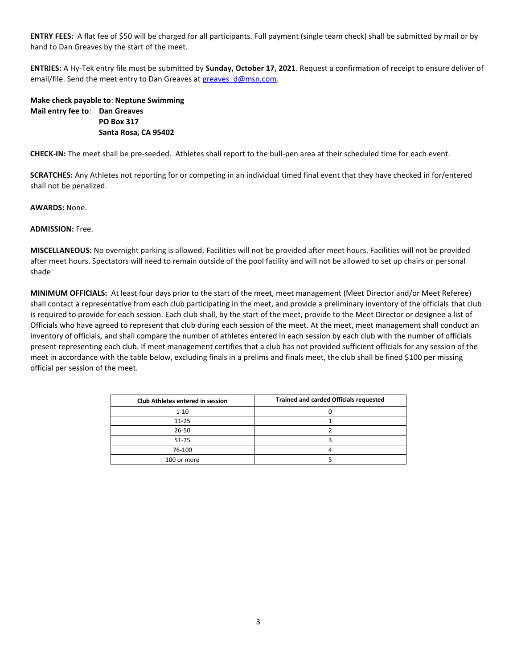**ENTRY FEES:** A flat fee of \$50 will be charged for all participants. Full payment (single team check) shall be submitted by mail or by hand to Dan Greaves by the start of the meet.

**ENTRIES:** A Hy-Tek entry file must be submitted by **Sunday, October 17, 2021**. Request a confirmation of receipt to ensure deliver of email/file. Send the meet entry to Dan Greaves at greaves d@msn.com.

## **Make check payable to**: **Neptune Swimming Mail entry fee to**: **Dan Greaves PO Box 317 Santa Rosa, CA 95402**

**CHECK-IN:** The meet shall be pre-seeded. Athletes shall report to the bull-pen area at their scheduled time for each event.

**SCRATCHES:** Any Athletes not reporting for or competing in an individual timed final event that they have checked in for/entered shall not be penalized.

**AWARDS:** None.

**ADMISSION:** Free.

**MISCELLANEOUS:** No overnight parking is allowed. Facilities will not be provided after meet hours. Facilities will not be provided after meet hours. Spectators will need to remain outside of the pool facility and will not be allowed to set up chairs or personal shade

**MINIMUM OFFICIALS:** At least four days prior to the start of the meet, meet management (Meet Director and/or Meet Referee) shall contact a representative from each club participating in the meet, and provide a preliminary inventory of the officials that club is required to provide for each session. Each club shall, by the start of the meet, provide to the Meet Director or designee a list of Officials who have agreed to represent that club during each session of the meet. At the meet, meet management shall conduct an inventory of officials, and shall compare the number of athletes entered in each session by each club with the number of officials present representing each club. If meet management certifies that a club has not provided sufficient officials for any session of the meet in accordance with the table below, excluding finals in a prelims and finals meet, the club shall be fined \$100 per missing official per session of the meet.

| <b>Club Athletes entered in session</b> | <b>Trained and carded Officials requested</b> |
|-----------------------------------------|-----------------------------------------------|
| $1 - 10$                                |                                               |
| $11 - 25$                               |                                               |
| $26 - 50$                               |                                               |
| 51-75                                   |                                               |
| 76-100                                  |                                               |
| 100 or more                             |                                               |